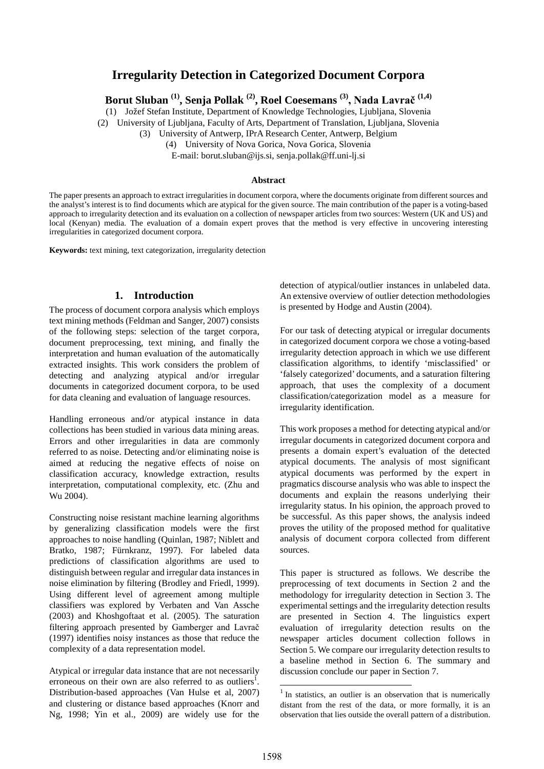# **Irregularity Detection in Categorized Document Corpora**

**Borut Sluban (1), Senja Pollak (2), Roel Coesemans (3), Nada Lavrač (1,4)**

(1) Jožef Stefan Institute, Department of Knowledge Technologies, Ljubljana, Slovenia

(2) University of Ljubljana, Faculty of Arts, Department of Translation, Ljubljana, Slovenia

(3) University of Antwerp, IPrA Research Center, Antwerp, Belgium

(4) University of Nova Gorica, Nova Gorica, Slovenia

E-mail: borut.sluban@ijs.si, senja.pollak@ff.uni-lj.si

#### **Abstract**

The paper presents an approach to extract irregularities in document corpora, where the documents originate from different sources and the analyst's interest is to find documents which are atypical for the given source. The main contribution of the paper is a voting-based approach to irregularity detection and its evaluation on a collection of newspaper articles from two sources: Western (UK and US) and local (Kenyan) media. The evaluation of a domain expert proves that the method is very effective in uncovering interesting irregularities in categorized document corpora.

**Keywords:** text mining, text categorization, irregularity detection

## **1. Introduction**

The process of document corpora analysis which employs text mining methods (Feldman and Sanger, 2007) consists of the following steps: selection of the target corpora, document preprocessing, text mining, and finally the interpretation and human evaluation of the automatically extracted insights. This work considers the problem of detecting and analyzing atypical and/or irregular documents in categorized document corpora, to be used for data cleaning and evaluation of language resources.

Handling erroneous and/or atypical instance in data collections has been studied in various data mining areas. Errors and other irregularities in data are commonly referred to as noise. Detecting and/or eliminating noise is aimed at reducing the negative effects of noise on classification accuracy, knowledge extraction, results interpretation, computational complexity, etc. (Zhu and Wu 2004).

Constructing noise resistant machine learning algorithms by generalizing classification models were the first approaches to noise handling (Quinlan, 1987; Niblett and Bratko, 1987; Fürnkranz, 1997). For labeled data predictions of classification algorithms are used to distinguish between regular and irregular data instances in noise elimination by filtering (Brodley and Friedl, 1999). Using different level of agreement among multiple classifiers was explored by Verbaten and Van Assche (2003) and Khoshgoftaat et al. (2005). The saturation filtering approach presented by Gamberger and Lavrač (1997) identifies noisy instances as those that reduce the complexity of a data representation model.

<span id="page-0-1"></span>Atypical or irregular data instance that are not necessarily erroneous on their own are also referred to as outliers<sup>1</sup>[.](#page-0-0) Distribution-based approaches (Van Hulse et al, 2007) and clustering or distance based approaches (Knorr and Ng, 1998; Yin et al., 2009) are widely use for the <span id="page-0-0"></span>detection of atypical/outlier instances in unlabeled data. An extensive overview of outlier detection methodologies is presented by Hodge and Austin (2004).

For our task of detecting atypical or irregular documents in categorized document corpora we chose a voting-based irregularity detection approach in which we use different classification algorithms, to identify 'misclassified' or 'falsely categorized' documents, and a saturation filtering approach, that uses the complexity of a document classification/categorization model as a measure for irregularity identification.

This work proposes a method for detecting atypical and/or irregular documents in categorized document corpora and presents a domain expert's evaluation of the detected atypical documents. The analysis of most significant atypical documents was performed by the expert in pragmatics discourse analysis who was able to inspect the documents and explain the reasons underlying their irregularity status. In his opinion, the approach proved to be successful. As this paper shows, the analysis indeed proves the utility of the proposed method for qualitative analysis of document corpora collected from different sources.

This paper is structured as follows. We describe the preprocessing of text documents in Section 2 and the methodology for irregularity detection in Section 3. The experimental settings and the irregularity detection results are presented in Section 4. The linguistics expert evaluation of irregularity detection results on the newspaper articles document collection follows in Section 5. We compare our irregularity detection results to a baseline method in Section 6. The summary and discussion conclude our paper in Section 7.

-

 $1$  In statistics, an outlier is an observation that is numerically distant from the rest of the data, or more formally, it is an observation that lies outside the overall pattern of a distribution.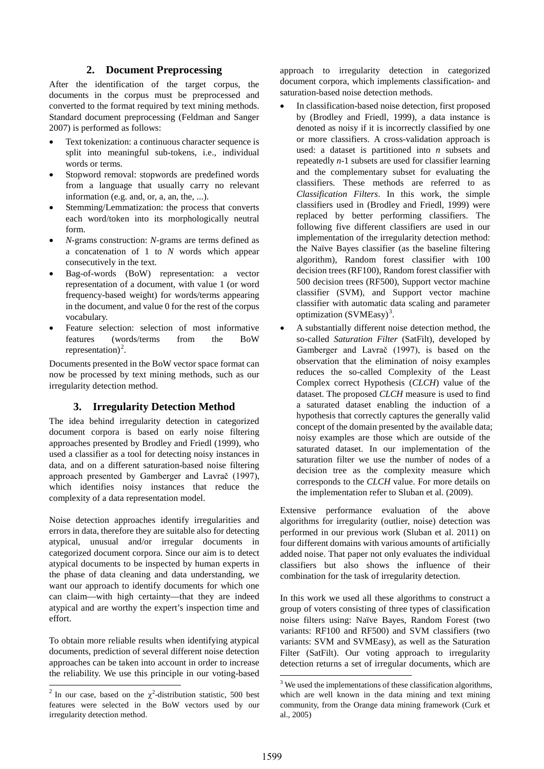## **2. Document Preprocessing**

After the identification of the target corpus, the documents in the corpus must be preprocessed and converted to the format required by text mining methods. Standard document preprocessing (Feldman and Sanger 2007) is performed as follows:

- Text tokenization: a continuous character sequence is split into meaningful sub-tokens, i.e., individual words or terms.
- Stopword removal: stopwords are predefined words from a language that usually carry no relevant information (e.g. and, or, a, an, the, ...).
- Stemming/Lemmatization: the process that converts each word/token into its morphologically neutral form.
- *N*-grams construction: *N*-grams are terms defined as a concatenation of 1 to *N* words which appear consecutively in the text.
- Bag-of-words (BoW) representation: a vector representation of a document, with value 1 (or word frequency-based weight) for words/terms appearing in the document, and value 0 for the rest of the corpus vocabulary.
- Feature selection: selection of most informative features (words/terms from the BoW representation)<sup>[2](#page-0-1)</sup>.

Documents presented in the BoW vector space format can now be processed by text mining methods, such as our irregularity detection method.

# **3. Irregularity Detection Method**

The idea behind irregularity detection in categorized document corpora is based on early noise filtering approaches presented by Brodley and Friedl (1999), who used a classifier as a tool for detecting noisy instances in data, and on a different saturation-based noise filtering approach presented by Gamberger and Lavrač (1997), which identifies noisy instances that reduce the complexity of a data representation model.

Noise detection approaches identify irregularities and errors in data, therefore they are suitable also for detecting atypical, unusual and/or irregular documents in categorized document corpora. Since our aim is to detect atypical documents to be inspected by human experts in the phase of data cleaning and data understanding, we want our approach to identify documents for which one can claim—with high certainty—that they are indeed atypical and are worthy the expert's inspection time and effort.

To obtain more reliable results when identifying atypical documents, prediction of several different noise detection approaches can be taken into account in order to increase the reliability. We use this principle in our voting-based

j

approach to irregularity detection in categorized document corpora, which implements classification- and saturation-based noise detection methods.

- In classification-based noise detection, first proposed by (Brodley and Friedl, 1999), a data instance is denoted as noisy if it is incorrectly classified by one or more classifiers. A cross-validation approach is used: a dataset is partitioned into  $n$  subsets and repeatedly *n*-1 subsets are used for classifier learning and the complementary subset for evaluating the classifiers. These methods are referred to as *Classification Filters*. In this work, the simple classifiers used in (Brodley and Friedl, 1999) were replaced by better performing classifiers. The following five different classifiers are used in our implementation of the irregularity detection method: the Naïve Bayes classifier (as the baseline filtering algorithm), Random forest classifier with 100 decision trees (RF100), Random forest classifier with 500 decision trees (RF500), Support vector machine classifier (SVM), and Support vector machine classifier with automatic data scaling and parameter optimization (SVMEasy)<sup>[3](#page-1-0)</sup>.
- A substantially different noise detection method, the so-called *Saturation Filter* (SatFilt), developed by Gamberger and Lavrač (1997), is based on the observation that the elimination of noisy examples reduces the so-called Complexity of the Least Complex correct Hypothesis (*CLCH*) value of the dataset. The proposed *CLCH* measure is used to find a saturated dataset enabling the induction of a hypothesis that correctly captures the generally valid concept of the domain presented by the available data; noisy examples are those which are outside of the saturated dataset. In our implementation of the saturation filter we use the number of nodes of a decision tree as the complexity measure which corresponds to the *CLCH* value. For more details on the implementation refer to Sluban et al. (2009).

Extensive performance evaluation of the above algorithms for irregularity (outlier, noise) detection was performed in our previous work (Sluban et al. 2011) on four different domains with various amounts of artificially added noise. That paper not only evaluates the individual classifiers but also shows the influence of their combination for the task of irregularity detection.

In this work we used all these algorithms to construct a group of voters consisting of three types of classification noise filters using: Naïve Bayes, Random Forest (two variants: RF100 and RF500) and SVM classifiers (two variants: SVM and SVMEasy), as well as the Saturation Filter (SatFilt). Our voting approach to irregularity detection returns a set of irregular documents, which are

-

<span id="page-1-0"></span><sup>&</sup>lt;sup>2</sup> In our case, based on the  $\chi^2$ -distribution statistic, 500 best features were selected in the BoW vectors used by our irregularity detection method.

<sup>&</sup>lt;sup>3</sup> We used the implementations of these classification algorithms, which are well known in the data mining and text mining community, from the Orange data mining framework (Curk et al., 2005)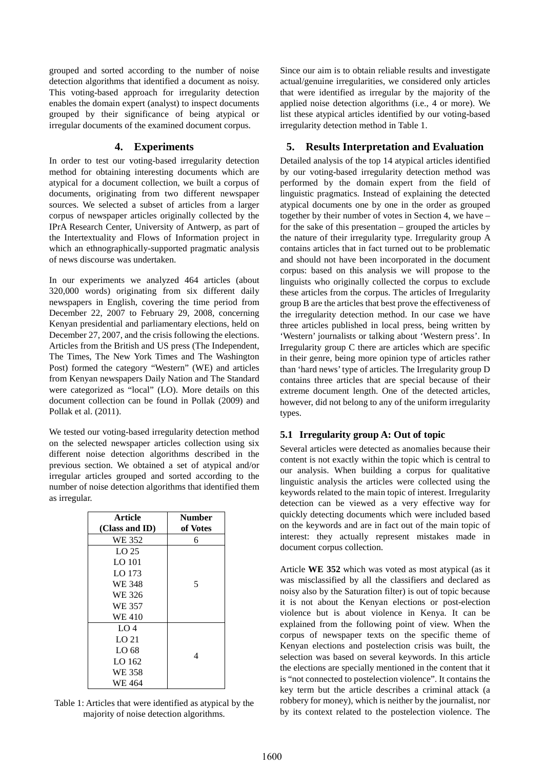grouped and sorted according to the number of noise detection algorithms that identified a document as noisy. This voting-based approach for irregularity detection enables the domain expert (analyst) to inspect documents grouped by their significance of being atypical or irregular documents of the examined document corpus.

## **4. Experiments**

In order to test our voting-based irregularity detection method for obtaining interesting documents which are atypical for a document collection, we built a corpus of documents, originating from two different newspaper sources. We selected a subset of articles from a larger corpus of newspaper articles originally collected by the IPrA Research Center, University of Antwerp, as part of the Intertextuality and Flows of Information project in which an ethnographically-supported pragmatic analysis of news discourse was undertaken.

In our experiments we analyzed 464 articles (about 320,000 words) originating from six different daily newspapers in English, covering the time period from December 22, 2007 to February 29, 2008, concerning Kenyan presidential and parliamentary elections, held on December 27, 2007, and the crisis following the elections. Articles from the British and US press (The Independent, The Times, The New York Times and The Washington Post) formed the category "Western" (WE) and articles from Kenyan newspapers Daily Nation and The Standard were categorized as "local" (LO). More details on this document collection can be found in Pollak (2009) and Pollak et al. (2011).

We tested our voting-based irregularity detection method on the selected newspaper articles collection using six different noise detection algorithms described in the previous section. We obtained a set of atypical and/or irregular articles grouped and sorted according to the number of noise detection algorithms that identified them as irregular.

| <b>Article</b>   | <b>Number</b> |
|------------------|---------------|
| (Class and ID)   | of Votes      |
| WE 352           | 6             |
| LO <sub>25</sub> |               |
| LO 101           |               |
| LO 173           |               |
| WE 348           | 5             |
| WE 326           |               |
| WE 357           |               |
| WE 410           |               |
| LO <sub>4</sub>  |               |
| LO <sub>21</sub> |               |
| LO <sub>68</sub> |               |
| LO 162           | 4             |
| WE 358           |               |
| WE 464           |               |

Table 1: Articles that were identified as atypical by the majority of noise detection algorithms.

Since our aim is to obtain reliable results and investigate actual/genuine irregularities, we considered only articles that were identified as irregular by the majority of the applied noise detection algorithms (i.e., 4 or more). We list these atypical articles identified by our voting-based irregularity detection method in Table 1.

# **5. Results Interpretation and Evaluation**

Detailed analysis of the top 14 atypical articles identified by our voting-based irregularity detection method was performed by the domain expert from the field of linguistic pragmatics. Instead of explaining the detected atypical documents one by one in the order as grouped together by their number of votes in Section 4, we have – for the sake of this presentation – grouped the articles by the nature of their irregularity type. Irregularity group A contains articles that in fact turned out to be problematic and should not have been incorporated in the document corpus: based on this analysis we will propose to the linguists who originally collected the corpus to exclude these articles from the corpus. The articles of Irregularity group B are the articles that best prove the effectiveness of the irregularity detection method. In our case we have three articles published in local press, being written by 'Western' journalists or talking about 'Western press'. In Irregularity group C there are articles which are specific in their genre, being more opinion type of articles rather than 'hard news' type of articles. The Irregularity group D contains three articles that are special because of their extreme document length. One of the detected articles, however, did not belong to any of the uniform irregularity types.

# **5.1 Irregularity group A: Out of topic**

Several articles were detected as anomalies because their content is not exactly within the topic which is central to our analysis. When building a corpus for qualitative linguistic analysis the articles were collected using the keywords related to the main topic of interest. Irregularity detection can be viewed as a very effective way for quickly detecting documents which were included based on the keywords and are in fact out of the main topic of interest: they actually represent mistakes made in document corpus collection.

Article **WE 352** which was voted as most atypical (as it was misclassified by all the classifiers and declared as noisy also by the Saturation filter) is out of topic because it is not about the Kenyan elections or post-election violence but is about violence in Kenya. It can be explained from the following point of view. When the corpus of newspaper texts on the specific theme of Kenyan elections and postelection crisis was built, the selection was based on several keywords. In this article the elections are specially mentioned in the content that it is "not connected to postelection violence". It contains the key term but the article describes a criminal attack (a robbery for money), which is neither by the journalist, nor by its context related to the postelection violence. The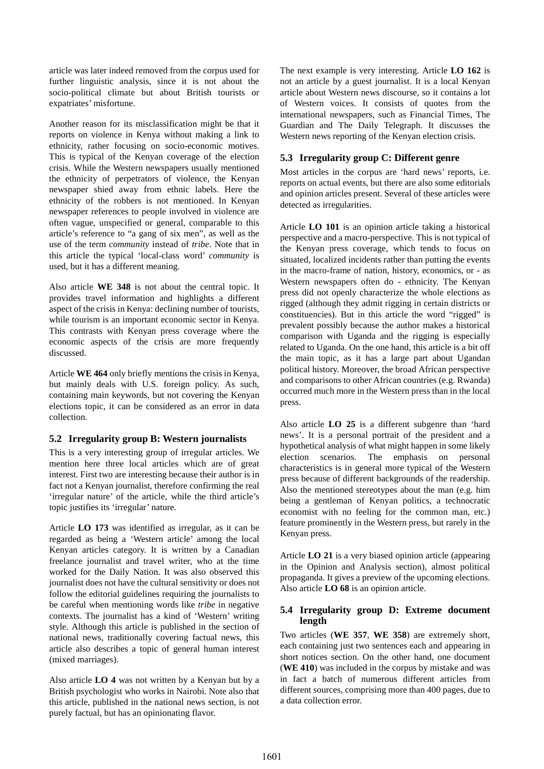article was later indeed removed from the corpus used for further linguistic analysis, since it is not about the socio-political climate but about British tourists or expatriates' misfortune.

Another reason for its misclassification might be that it reports on violence in Kenya without making a link to ethnicity, rather focusing on socio-economic motives. This is typical of the Kenyan coverage of the election crisis. While the Western newspapers usually mentioned the ethnicity of perpetrators of violence, the Kenyan newspaper shied away from ethnic labels. Here the ethnicity of the robbers is not mentioned. In Kenyan newspaper references to people involved in violence are often vague, unspecified or general, comparable to this article's reference to "a gang of six men", as well as the use of the term *community* instead of *tribe*. Note that in this article the typical 'local-class word' *community* is used, but it has a different meaning.

Also article **WE 348** is not about the central topic. It provides travel information and highlights a different aspect of the crisis in Kenya: declining number of tourists, while tourism is an important economic sector in Kenya. This contrasts with Kenyan press coverage where the economic aspects of the crisis are more frequently discussed.

Article **WE 464** only briefly mentions the crisis in Kenya, but mainly deals with U.S. foreign policy. As such, containing main keywords, but not covering the Kenyan elections topic, it can be considered as an error in data collection.

## **5.2 Irregularity group B: Western journalists**

This is a very interesting group of irregular articles. We mention here three local articles which are of great interest. First two are interesting because their author is in fact not a Kenyan journalist, therefore confirming the real 'irregular nature' of the article, while the third article's topic justifies its 'irregular' nature.

Article **LO 173** was identified as irregular, as it can be regarded as being a 'Western article' among the local Kenyan articles category. It is written by a Canadian freelance journalist and travel writer, who at the time worked for the Daily Nation. It was also observed this journalist does not have the cultural sensitivity or does not follow the editorial guidelines requiring the journalists to be careful when mentioning words like *tribe* in negative contexts. The journalist has a kind of 'Western' writing style. Although this article is published in the section of national news, traditionally covering factual news, this article also describes a topic of general human interest (mixed marriages).

Also article **LO 4** was not written by a Kenyan but by a British psychologist who works in Nairobi. Note also that this article, published in the national news section, is not purely factual, but has an opinionating flavor.

The next example is very interesting. Article **LO 162** is not an article by a guest journalist. It is a local Kenyan article about Western news discourse, so it contains a lot of Western voices. It consists of quotes from the international newspapers, such as Financial Times, The Guardian and The Daily Telegraph. It discusses the Western news reporting of the Kenyan election crisis.

## **5.3 Irregularity group C: Different genre**

Most articles in the corpus are 'hard news' reports, i.e. reports on actual events, but there are also some editorials and opinion articles present. Several of these articles were detected as irregularities.

Article **LO 101** is an opinion article taking a historical perspective and a macro-perspective. This is not typical of the Kenyan press coverage, which tends to focus on situated, localized incidents rather than putting the events in the macro-frame of nation, history, economics, or - as Western newspapers often do - ethnicity. The Kenyan press did not openly characterize the whole elections as rigged (although they admit rigging in certain districts or constituencies). But in this article the word "rigged" is prevalent possibly because the author makes a historical comparison with Uganda and the rigging is especially related to Uganda. On the one hand, this article is a bit off the main topic, as it has a large part about Ugandan political history. Moreover, the broad African perspective and comparisons to other African countries (e.g. Rwanda) occurred much more in the Western press than in the local press.

Also article **LO 25** is a different subgenre than 'hard news'. It is a personal portrait of the president and a hypothetical analysis of what might happen in some likely election scenarios. The emphasis on personal characteristics is in general more typical of the Western press because of different backgrounds of the readership. Also the mentioned stereotypes about the man (e.g. him being a gentleman of Kenyan politics, a technocratic economist with no feeling for the common man, etc.) feature prominently in the Western press, but rarely in the Kenyan press.

Article **LO 21** is a very biased opinion article (appearing in the Opinion and Analysis section), almost political propaganda. It gives a preview of the upcoming elections. Also article **LO 68** is an opinion article.

### **5.4 Irregularity group D: Extreme document length**

Two articles (**WE 357**, **WE 358**) are extremely short, each containing just two sentences each and appearing in short notices section. On the other hand, one document (**WE 410**) was included in the corpus by mistake and was in fact a batch of numerous different articles from different sources, comprising more than 400 pages, due to a data collection error.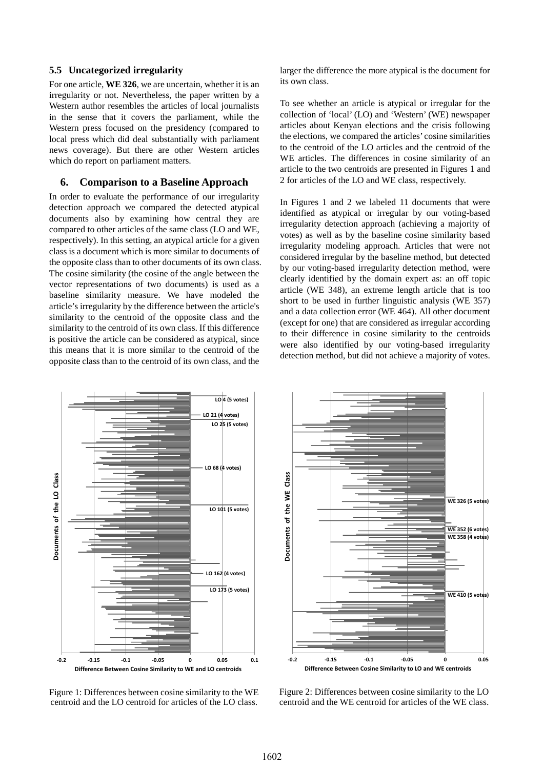## **5.5 Uncategorized irregularity**

For one article, **WE 326**, we are uncertain, whether it is an irregularity or not. Nevertheless, the paper written by a Western author resembles the articles of local journalists in the sense that it covers the parliament, while the Western press focused on the presidency (compared to local press which did deal substantially with parliament news coverage). But there are other Western articles which do report on parliament matters.

### **6. Comparison to a Baseline Approach**

In order to evaluate the performance of our irregularity detection approach we compared the detected atypical documents also by examining how central they are compared to other articles of the same class (LO and WE, respectively). In this setting, an atypical article for a given class is a document which is more similar to documents of the opposite class than to other documents of its own class. The cosine similarity (the cosine of the angle between the vector representations of two documents) is used as a baseline similarity measure. We have modeled the article's irregularity by the difference between the article's similarity to the centroid of the opposite class and the similarity to the centroid of its own class. If this difference is positive the article can be considered as atypical, since this means that it is more similar to the centroid of the opposite class than to the centroid of its own class, and the

larger the difference the more atypical is the document for its own class.

To see whether an article is atypical or irregular for the collection of 'local' (LO) and 'Western' (WE) newspaper articles about Kenyan elections and the crisis following the elections, we compared the articles' cosine similarities to the centroid of the LO articles and the centroid of the WE articles. The differences in cosine similarity of an article to the two centroids are presented in Figures 1 and 2 for articles of the LO and WE class, respectively.

In Figures 1 and 2 we labeled 11 documents that were identified as atypical or irregular by our voting-based irregularity detection approach (achieving a majority of votes) as well as by the baseline cosine similarity based irregularity modeling approach. Articles that were not considered irregular by the baseline method, but detected by our voting-based irregularity detection method, were clearly identified by the domain expert as: an off topic article (WE 348), an extreme length article that is too short to be used in further linguistic analysis (WE 357) and a data collection error (WE 464). All other document (except for one) that are considered as irregular according to their difference in cosine similarity to the centroids were also identified by our voting-based irregularity detection method, but did not achieve a majority of votes.



Figure 1: Differences between cosine similarity to the WE centroid and the LO centroid for articles of the LO class.



Figure 2: Differences between cosine similarity to the LO centroid and the WE centroid for articles of the WE class.